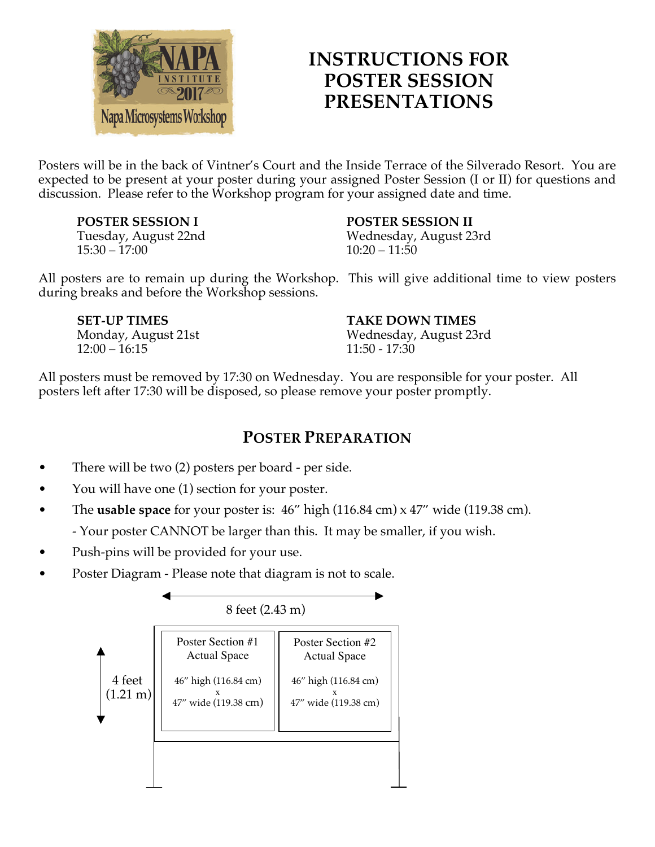

## **INSTRUCTIONS FOR POSTER SESSION PRESENTATIONS**

Posters will be in the back of Vintner's Court and the Inside Terrace of the Silverado Resort. You are expected to be present at your poster during your assigned Poster Session (I or II) for questions and discussion. Please refer to the Workshop program for your assigned date and time.

**POSTER SESSION I** Tuesday, August 22nd 15:30 – 17:00

## **POSTER SESSION II**

Wednesday, August 23rd  $10:20 - 11:50$ 

All posters are to remain up during the Workshop. This will give additional time to view posters during breaks and before the Workshop sessions.

**SET-UP TIMES** Monday, August 21st  $12:00 - 16:15$ 

**TAKE DOWN TIMES** Wednesday, August 23rd 11:50 - 17:30

All posters must be removed by 17:30 on Wednesday. You are responsible for your poster. All posters left after 17:30 will be disposed, so please remove your poster promptly.

## **POSTER PREPARATION**

- There will be two (2) posters per board per side.
- You will have one (1) section for your poster.
- The **usable space** for your poster is: 46" high (116.84 cm) x 47" wide (119.38 cm).
	- Your poster CANNOT be larger than this. It may be smaller, if you wish.
- Push-pins will be provided for your use.
- Poster Diagram Please note that diagram is not to scale.